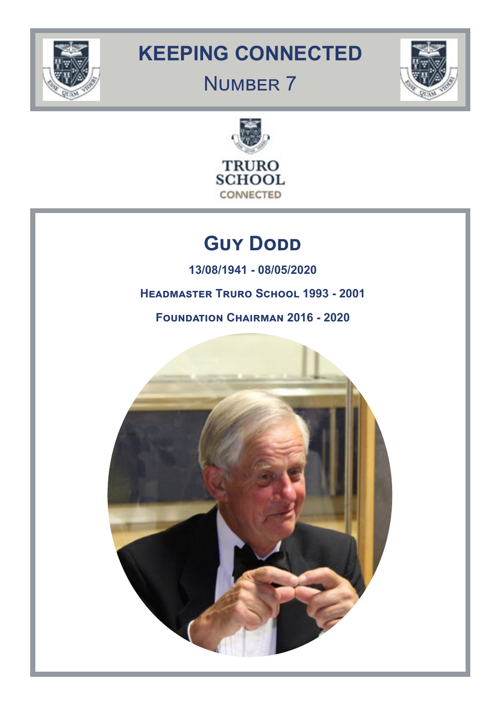

# **KEEPING CONNECTED**

# NUMBER 7





# **GUY DODD**

**13/08/1941 - 08/05/2020**

**Headmaster Truro School 1993 - 2001**

**Foundation Chairman 2016 - 2020**

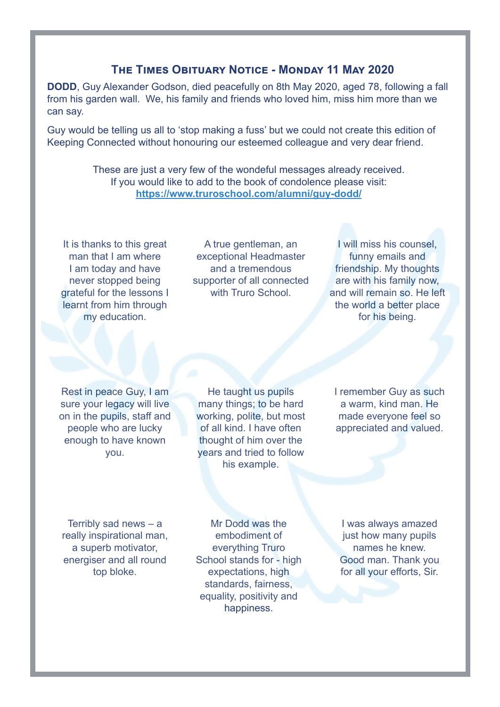# **The Times Obituary Notice - Monday 11 May 2020**

**DODD**, Guy Alexander Godson, died peacefully on 8th May 2020, aged 78, following a fall from his garden wall. We, his family and friends who loved him, miss him more than we can say.

Guy would be telling us all to 'stop making a fuss' but we could not create this edition of Keeping Connected without honouring our esteemed colleague and very dear friend.

> These are just a very few of the wondeful messages already received. If you would like to add to the book of condolence please visit: **<https://www.truroschool.com/alumni/guy-dodd/>**

It is thanks to this great man that I am where I am today and have never stopped being grateful for the lessons I learnt from him through my education.

A true gentleman, an exceptional Headmaster and a tremendous supporter of all connected with Truro School.

I will miss his counsel, funny emails and friendship. My thoughts are with his family now, and will remain so. He left the world a better place for his being.

Rest in peace Guy, I am sure your legacy will live on in the pupils, staff and people who are lucky enough to have known you.

He taught us pupils many things; to be hard working, polite, but most of all kind. I have often thought of him over the years and tried to follow his example.

I remember Guy as such a warm, kind man. He made everyone feel so appreciated and valued.

Terribly sad news – a really inspirational man, a superb motivator, energiser and all round top bloke.

Mr Dodd was the embodiment of everything Truro School stands for - high expectations, high standards, fairness, equality, positivity and happiness.

I was always amazed just how many pupils names he knew. Good man. Thank you for all your efforts, Sir.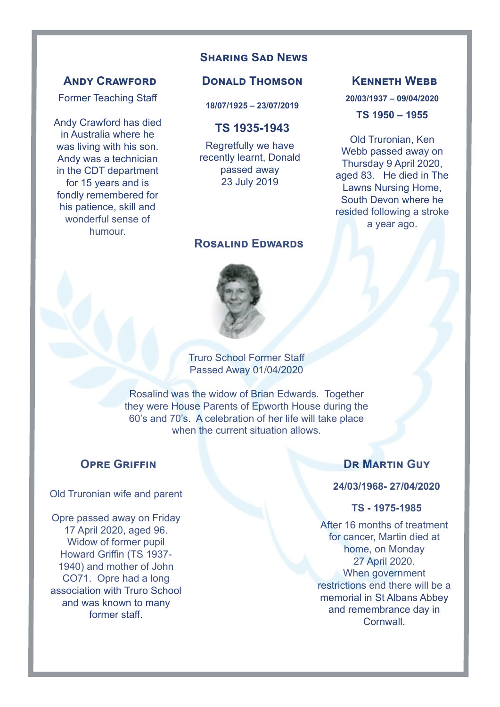# **Sharing Sad News**

#### **Andy Crawford**

Former Teaching Staff

Andy Crawford has died in Australia where he was living with his son. Andy was a technician in the CDT department for 15 years and is fondly remembered for his patience, skill and wonderful sense of humour.

### **Donald Thomson**

**18/07/1925 – 23/07/2019**

#### **TS 1935-1943**

Regretfully we have recently learnt, Donald passed away 23 July 2019

#### **Rosalind Edwards**



Truro School Former Staff Passed Away 01/04/2020

Rosalind was the widow of Brian Edwards. Together they were House Parents of Epworth House during the 60's and 70's. A celebration of her life will take place when the current situation allows.

### **OPRE GRIFFIN**

#### Old Truronian wife and parent

Opre passed away on Friday 17 April 2020, aged 96. Widow of former pupil Howard Griffin (TS 1937- 1940) and mother of John CO71. Opre had a long association with Truro School and was known to many former staff.

### **Dr Martin Guy**

**Kenneth Webb**

**20/03/1937 – 09/04/2020 TS 1950 – 1955**

Old Truronian, Ken Webb passed away on Thursday 9 April 2020, aged 83. He died in The Lawns Nursing Home, South Devon where he resided following a stroke a year ago.

#### **24/03/1968- 27/04/2020**

#### **TS - 1975-1985**

After 16 months of treatment for cancer, Martin died at home, on Monday 27 April 2020. When government restrictions end there will be a memorial in St Albans Abbey and remembrance day in **Cornwall**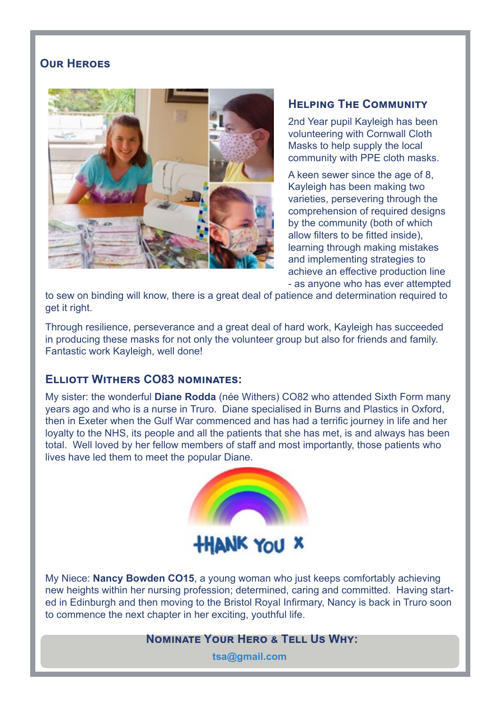# **[Our Heroes](http://Our Heroes)**



### **Helping The Community**

2nd Year pupil Kayleigh has been volunteering with Cornwall Cloth Masks to help supply the local community with PPE cloth masks.

A keen sewer since the age of 8, Kayleigh has been making two varieties, persevering through the comprehension of required designs by the community (both of which allow filters to be fitted inside), learning through making mistakes and implementing strategies to achieve an effective production line - as anyone who has ever attempted

to sew on binding will know, there is a great deal of patience and determination required to get it right.

Through resilience, perseverance and a great deal of hard work, Kayleigh has succeeded in producing these masks for not only the volunteer group but also for friends and family. Fantastic work Kayleigh, well done!

# **Elliott Withers CO83 nominates:**

My sister: the wonderful **Diane Rodda** (née Withers) CO82 who attended Sixth Form many years ago and who is a nurse in Truro. Diane specialised in Burns and Plastics in Oxford, then in Exeter when the Gulf War commenced and has had a terrific journey in life and her loyalty to the NHS, its people and all the patients that she has met, is and always has been total. Well loved by her fellow members of staff and most importantly, those patients who lives have led them to meet the popular Diane.



My Niece: **Nancy Bowden CO15**, a young woman who just keeps comfortably achieving new heights within her nursing profession; determined, caring and committed. Having started in Edinburgh and then moving to the Bristol Royal Infirmary, Nancy is back in Truro soon to commence the next chapter in her exciting, youthful life.

#### **Nominate Your Hero & Tell Us Why:**

**tsa@gmail.com**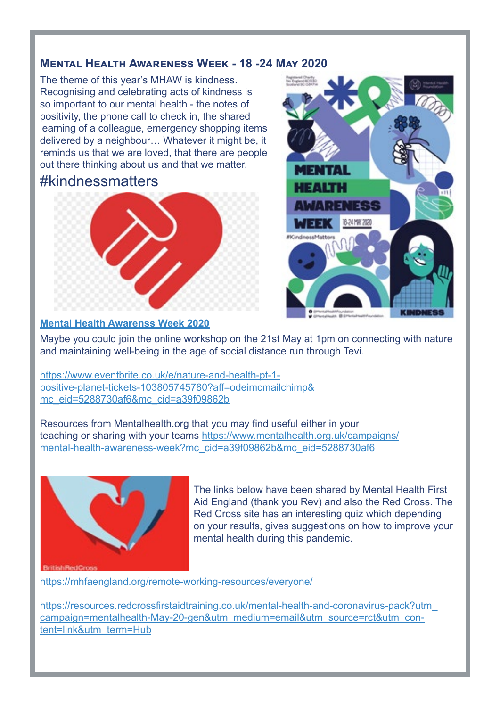# **Mental Health Awareness Week - 18 -24 May 2020**

The theme of this year's MHAW is kindness. Recognising and celebrating acts of kindness is so important to our mental health - the notes of positivity, the phone call to check in, the shared learning of a colleague, emergency shopping items delivered by a neighbour… Whatever it might be, it reminds us that we are loved, that there are people out there thinking about us and that we matter.

# #kindnessmatters



#### **[Mental Health Awarenss Week 2020](https://www.mentalhealth.org.uk/ess-week)**



[M](https://www.mentalhealth.org.uk/ess-week)aybe you could join the online workshop on the 21st May at 1pm on connecting with nature [a](https://www.mentalhealth.org.uk/ess-week)nd maintaining well-being in the age of social distance run through Tevi.

[https://www.eventbrite.co.uk/e/nature-and-health-pt-1]( https://www.eventbrite.co.uk/e/nature-and-health-pt-1-positive-planet-tickets-103805745780?aff=odei) [positive-planet-tickets-103805745780?aff=odeimcmailchimp&]( https://www.eventbrite.co.uk/e/nature-and-health-pt-1-positive-planet-tickets-103805745780?aff=odei) [mc\\_eid=5288730af6&mc\\_cid=a39f09862b]( https://www.eventbrite.co.uk/e/nature-and-health-pt-1-positive-planet-tickets-103805745780?aff=odei)

Resources from Mentalhealth.org that you may find useful either in your teaching or sharing with your teams [https://www.mentalhealth.org.uk/campaigns/](https://www.mentalhealth.org.uk/campaigns/mental-health-awareness-week?mc_cid=a39f09862b&mc_eid=5288) [mental-health-awareness-week?mc\\_cid=a39f09862b&mc\\_eid=5288730af6](https://www.mentalhealth.org.uk/campaigns/mental-health-awareness-week?mc_cid=a39f09862b&mc_eid=5288)



The links below have been shared by Mental Health First Aid England (thank you Rev) and also the Red Cross. The Red Cross site has an interesting quiz which depending on your results, gives suggestions on how to improve your mental health during this pandemic.

<https://mhfaengland.org/remote-working-resources/everyone/>

[https://resources.redcrossfirstaidtraining.co.uk/mental-health-and-coronavirus-pack?utm\\_](https://resources.redcrossfirstaidtraining.co.uk/mental-health-and-coronavirus-pack?utm_campaign=men) [campaign=mentalhealth-May-20-gen&utm\\_medium=email&utm\\_source=rct&utm\\_con](https://resources.redcrossfirstaidtraining.co.uk/mental-health-and-coronavirus-pack?utm_campaign=men)[tent=link&utm\\_term=Hub](https://resources.redcrossfirstaidtraining.co.uk/mental-health-and-coronavirus-pack?utm_campaign=men)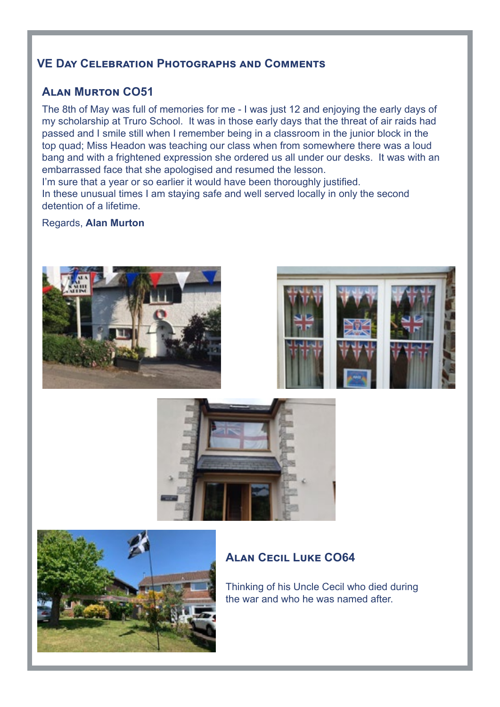# **VE Day Celebration Photographs and Comments**

# **Alan Murton CO51**

The 8th of May was full of memories for me - I was just 12 and enjoying the early days of my scholarship at Truro School. It was in those early days that the threat of air raids had passed and I smile still when I remember being in a classroom in the junior block in the top quad; Miss Headon was teaching our class when from somewhere there was a loud bang and with a frightened expression she ordered us all under our desks. It was with an embarrassed face that she apologised and resumed the lesson.

I'm sure that a year or so earlier it would have been thoroughly justified. In these unusual times I am staying safe and well served locally in only the second detention of a lifetime.

#### Regards, **Alan Murton**









# **Alan Cecil Luke CO64**

Thinking of his Uncle Cecil who died during the war and who he was named after.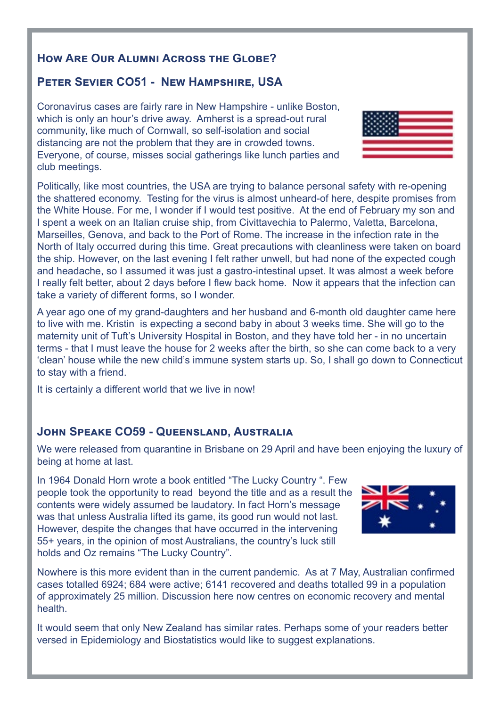# **How Are Our Alumni Across the Globe?**

# **Peter Sevier CO51 - New Hampshire, USA**

Coronavirus cases are fairly rare in New Hampshire - unlike Boston, which is only an hour's drive away. Amherst is a spread-out rural community, like much of Cornwall, so self-isolation and social distancing are not the problem that they are in crowded towns. Everyone, of course, misses social gatherings like lunch parties and club meetings.

Politically, like most countries, the USA are trying to balance personal safety with re-opening the shattered economy. Testing for the virus is almost unheard-of here, despite promises from the White House. For me, I wonder if I would test positive. At the end of February my son and I spent a week on an Italian cruise ship, from Civittavechia to Palermo, Valetta, Barcelona, Marseilles, Genova, and back to the Port of Rome. The increase in the infection rate in the North of Italy occurred during this time. Great precautions with cleanliness were taken on board the ship. However, on the last evening I felt rather unwell, but had none of the expected cough and headache, so I assumed it was just a gastro-intestinal upset. It was almost a week before I really felt better, about 2 days before I flew back home. Now it appears that the infection can take a variety of different forms, so I wonder.

A year ago one of my grand-daughters and her husband and 6-month old daughter came here to live with me. Kristin is expecting a second baby in about 3 weeks time. She will go to the maternity unit of Tuft's University Hospital in Boston, and they have told her - in no uncertain terms - that I must leave the house for 2 weeks after the birth, so she can come back to a very 'clean' house while the new child's immune system starts up. So, I shall go down to Connecticut to stay with a friend.

It is certainly a different world that we live in now!

# **John Speake CO59 - Queensland, Australia**

We were released from quarantine in Brisbane on 29 April and have been enjoying the luxury of being at home at last.

In 1964 Donald Horn wrote a book entitled "The Lucky Country ". Few people took the opportunity to read beyond the title and as a result the contents were widely assumed be laudatory. In fact Horn's message was that unless Australia lifted its game, its good run would not last. However, despite the changes that have occurred in the intervening 55+ years, in the opinion of most Australians, the country's luck still holds and Oz remains "The Lucky Country".

Nowhere is this more evident than in the current pandemic. As at 7 May, Australian confirmed cases totalled 6924; 684 were active; 6141 recovered and deaths totalled 99 in a population of approximately 25 million. Discussion here now centres on economic recovery and mental health.

It would seem that only New Zealand has similar rates. Perhaps some of your readers better versed in Epidemiology and Biostatistics would like to suggest explanations.



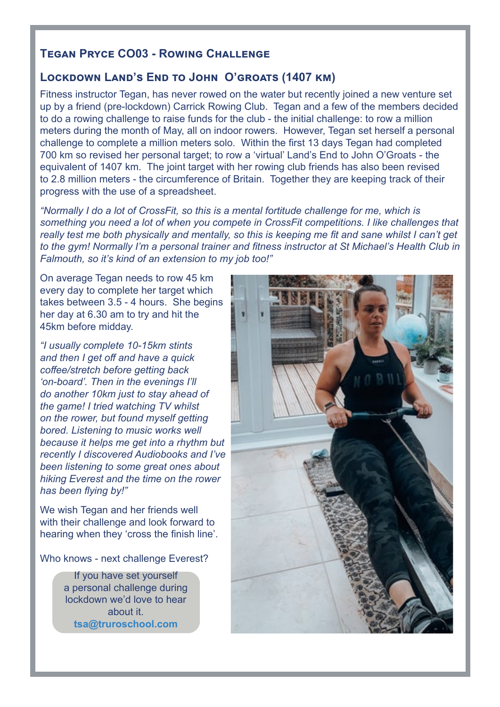## **[Tegan Pryce CO03](http://Tegan Pryce CO03) - Rowing Challenge**

#### **Lockdown Land's End to John O'groats (1407 km)**

Fitness instructor Tegan, has never rowed on the water but recently joined a new venture set up by a friend (pre-lockdown) Carrick Rowing Club. Tegan and a few of the members decided to do a rowing challenge to raise funds for the club - the initial challenge: to row a million meters during the month of May, all on indoor rowers. However, Tegan set herself a personal challenge to complete a million meters solo. Within the first 13 days Tegan had completed 700 km so revised her personal target; to row a 'virtual' Land's End to John O'Groats - the equivalent of 1407 km. The joint target with her rowing club friends has also been revised to 2.8 million meters - the circumference of Britain. Together they are keeping track of their progress with the use of a spreadsheet.

*"Normally I do a lot of CrossFit, so this is a mental fortitude challenge for me, which is something you need a lot of when you compete in CrossFit competitions. I like challenges that really test me both physically and mentally, so this is keeping me fit and sane whilst I can't get to the gym! Normally I'm a personal trainer and fitness instructor at St Michael's Health Club in Falmouth, so it's kind of an extension to my job too!"*

On average Tegan needs to row 45 km every day to complete her target which takes between 3.5 - 4 hours. She begins her day at 6.30 am to try and hit the 45km before midday.

*"I usually complete 10-15km stints and then I get off and have a quick coffee/stretch before getting back 'on-board'. Then in the evenings I'll do another 10km just to stay ahead of the game! I tried watching TV whilst on the rower, but found myself getting bored. Listening to music works well because it helps me get into a rhythm but recently I discovered Audiobooks and I've been listening to some great ones about hiking Everest and the time on the rower has been flying by!"*

We wish Tegan and her friends well with their challenge and look forward to hearing when they 'cross the finish line'.

Who knows - next challenge Everest?

If you have set yourself a personal challenge during lockdown we'd love to hear about it. **tsa@truroschool.com**

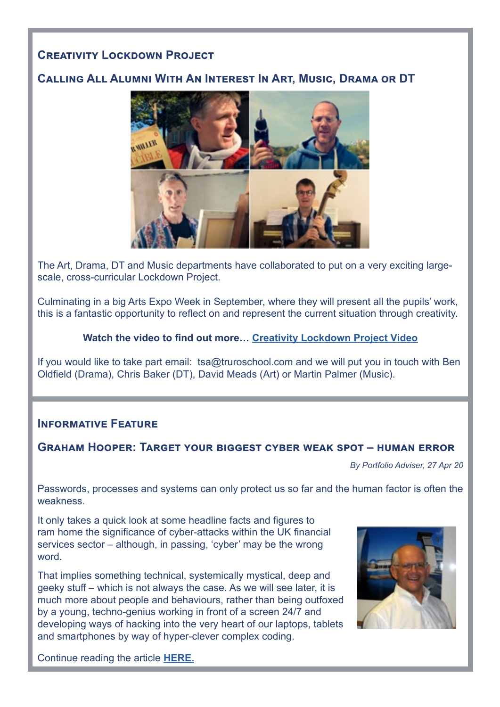# **Creativity Lockdown Project**

# **Calling All Alumni With An Interest In Art, Music, Drama or DT**



The Art, Drama, DT and Music departments have collaborated to put on a very exciting largescale, cross-curricular Lockdown Project.

Culminating in a big Arts Expo Week in September, where they will present all the pupils' work, this is a fantastic opportunity to reflect on and represent the current situation through creativity.

#### **Watch the video to find out more… [Creativity Lockdown Project Video](https://www.truroschool.com/latest-news/the-lockdown-project/)**

[If you would like to take part email: tsa@truroschool.com](If you would like to take part email:  tsa@truroschool.com ) and we will put you in touch with Ben Oldfield (Drama), Chris Baker (DT), David Meads (Art) or Martin Palmer (Music).

# **Informative Feature**

## **Graham Hooper: Target your biggest cyber weak spot – human error**

*By Portfolio Adviser, 27 Apr 20*

Passwords, processes and systems can only protect us so far and the human factor is often the weakness.

It only takes a quick look at some headline facts and figures to ram home the significance of cyber-attacks within the UK financial services sector – although, in passing, 'cyber' may be the wrong word.

That implies something technical, systemically mystical, deep and geeky stuff – which is not always the case. As we will see later, it is much more about people and behaviours, rather than being outfoxed by a young, techno-genius working in front of a screen 24/7 and developing ways of hacking into the very heart of our laptops, tablets and smartphones by way of hyper-clever complex coding.



Continue reading the article **[HERE.](https://portfolio-adviser.com/graham-hooper-target-your-biggest-cyber-weak-spot-human-error/)**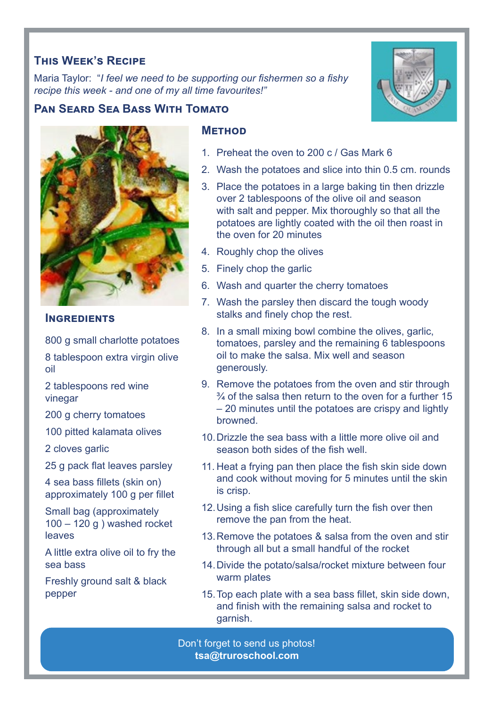# **This Week's Recipe**

Maria Taylor: "*I feel we need to be supporting our fishermen so a fishy recipe this week - and one of my all time favourites!"*

# **Pan Seard Sea Bass With Tomato**



#### **INGREDIENTS**

800 g small charlotte potatoes 8 tablespoon extra virgin olive

- oil
- 2 tablespoons red wine vinegar

200 g cherry tomatoes

100 pitted kalamata olives

2 cloves garlic

25 g pack flat leaves parsley

4 sea bass fillets (skin on) approximately 100 g per fillet

Small bag (approximately 100 – 120 g ) washed rocket leaves

A little extra olive oil to fry the sea bass

Freshly ground salt & black pepper

# **Method**

- 1. Preheat the oven to 200 c / Gas Mark 6
- 2. Wash the potatoes and slice into thin 0.5 cm. rounds
- 3. Place the potatoes in a large baking tin then drizzle over 2 tablespoons of the olive oil and season with salt and pepper. Mix thoroughly so that all the potatoes are lightly coated with the oil then roast in the oven for 20 minutes
- 4. Roughly chop the olives
- 5. Finely chop the garlic
- 6. Wash and quarter the cherry tomatoes
- 7. Wash the parsley then discard the tough woody stalks and finely chop the rest.
- 8. In a small mixing bowl combine the olives, garlic, tomatoes, parsley and the remaining 6 tablespoons oil to make the salsa. Mix well and season generously.
- 9. Remove the potatoes from the oven and stir through  $\frac{3}{4}$  of the salsa then return to the oven for a further 15 – 20 minutes until the potatoes are crispy and lightly browned.
- 10.Drizzle the sea bass with a little more olive oil and season both sides of the fish well.
- 11. Heat a frying pan then place the fish skin side down and cook without moving for 5 minutes until the skin is crisp.
- 12.Using a fish slice carefully turn the fish over then remove the pan from the heat.
- 13.Remove the potatoes & salsa from the oven and stir through all but a small handful of the rocket
- 14.Divide the potato/salsa/rocket mixture between four warm plates
- 15.Top each plate with a sea bass fillet, skin side down, and finish with the remaining salsa and rocket to garnish.

Don't forget to send us photos! **tsa@truroschool.com**